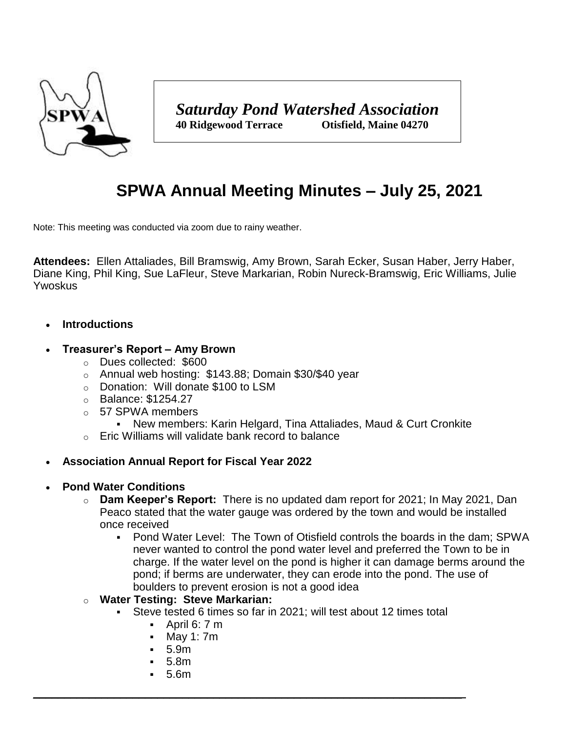

# **SPWA Annual Meeting Minutes – July 25, 2021**

Note: This meeting was conducted via zoom due to rainy weather.

**Attendees:** Ellen Attaliades, Bill Bramswig, Amy Brown, Sarah Ecker, Susan Haber, Jerry Haber, Diane King, Phil King, Sue LaFleur, Steve Markarian, Robin Nureck-Bramswig, Eric Williams, Julie Ywoskus

#### **Introductions**

#### **Treasurer's Report – Amy Brown**

- o Dues collected: \$600
- o Annual web hosting: \$143.88; Domain \$30/\$40 year
- o Donation: Will donate \$100 to LSM
- o Balance: \$1254.27
- o 57 SPWA members
	- New members: Karin Helgard, Tina Attaliades, Maud & Curt Cronkite
- o Eric Williams will validate bank record to balance

# **Association Annual Report for Fiscal Year 2022**

#### **Pond Water Conditions**

- o **Dam Keeper's Report:** There is no updated dam report for 2021; In May 2021, Dan Peaco stated that the water gauge was ordered by the town and would be installed once received
	- Pond Water Level: The Town of Otisfield controls the boards in the dam; SPWA never wanted to control the pond water level and preferred the Town to be in charge. If the water level on the pond is higher it can damage berms around the pond; if berms are underwater, they can erode into the pond. The use of boulders to prevent erosion is not a good idea
- o **Water Testing: Steve Markarian:** 
	- Steve tested 6 times so far in 2021; will test about 12 times total

 $\_$  , and the set of the set of the set of the set of the set of the set of the set of the set of the set of the set of the set of the set of the set of the set of the set of the set of the set of the set of the set of th

- $\blacksquare$  April 6: 7 m
- May 1: 7m
- 5.9m
- 5.8m
- 5.6m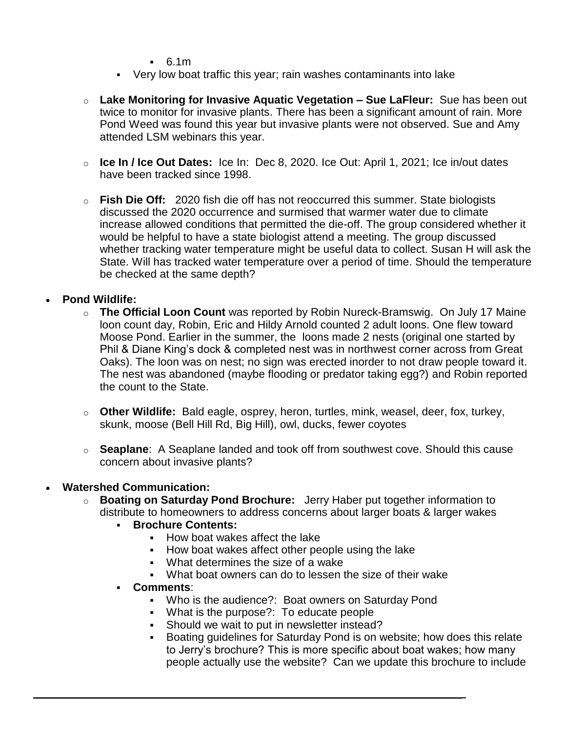$-6.1m$ 

- Very low boat traffic this year; rain washes contaminants into lake
- o **Lake Monitoring for Invasive Aquatic Vegetation – Sue LaFleur:** Sue has been out twice to monitor for invasive plants. There has been a significant amount of rain. More Pond Weed was found this year but invasive plants were not observed. Sue and Amy attended LSM webinars this year.
- o **Ice In / Ice Out Dates:** Ice In: Dec 8, 2020. Ice Out: April 1, 2021; Ice in/out dates have been tracked since 1998.
- o **Fish Die Off:** 2020 fish die off has not reoccurred this summer. State biologists discussed the 2020 occurrence and surmised that warmer water due to climate increase allowed conditions that permitted the die-off. The group considered whether it would be helpful to have a state biologist attend a meeting. The group discussed whether tracking water temperature might be useful data to collect. Susan H will ask the State. Will has tracked water temperature over a period of time. Should the temperature be checked at the same depth?

# **Pond Wildlife:**

- o **The Official Loon Count** was reported by Robin Nureck-Bramswig. On July 17 Maine loon count day, Robin, Eric and Hildy Arnold counted 2 adult loons. One flew toward Moose Pond. Earlier in the summer, the loons made 2 nests (original one started by Phil & Diane King's dock & completed nest was in northwest corner across from Great Oaks). The loon was on nest; no sign was erected inorder to not draw people toward it. The nest was abandoned (maybe flooding or predator taking egg?) and Robin reported the count to the State.
- o **Other Wildlife:** Bald eagle, osprey, heron, turtles, mink, weasel, deer, fox, turkey, skunk, moose (Bell Hill Rd, Big Hill), owl, ducks, fewer coyotes
- o **Seaplane**: A Seaplane landed and took off from southwest cove. Should this cause concern about invasive plants?

# **Watershed Communication:**

- o **Boating on Saturday Pond Brochure:** Jerry Haber put together information to distribute to homeowners to address concerns about larger boats & larger wakes
	- **Brochure Contents:**
		- How boat wakes affect the lake
		- How boat wakes affect other people using the lake
		- What determines the size of a wake

 $\_$  , and the set of the set of the set of the set of the set of the set of the set of the set of the set of the set of the set of the set of the set of the set of the set of the set of the set of the set of the set of th

What boat owners can do to lessen the size of their wake

# **Comments**:

- Who is the audience?: Boat owners on Saturday Pond
- What is the purpose?: To educate people
- Should we wait to put in newsletter instead?
- Boating guidelines for Saturday Pond is on website; how does this relate to Jerry's brochure? This is more specific about boat wakes; how many people actually use the website? Can we update this brochure to include